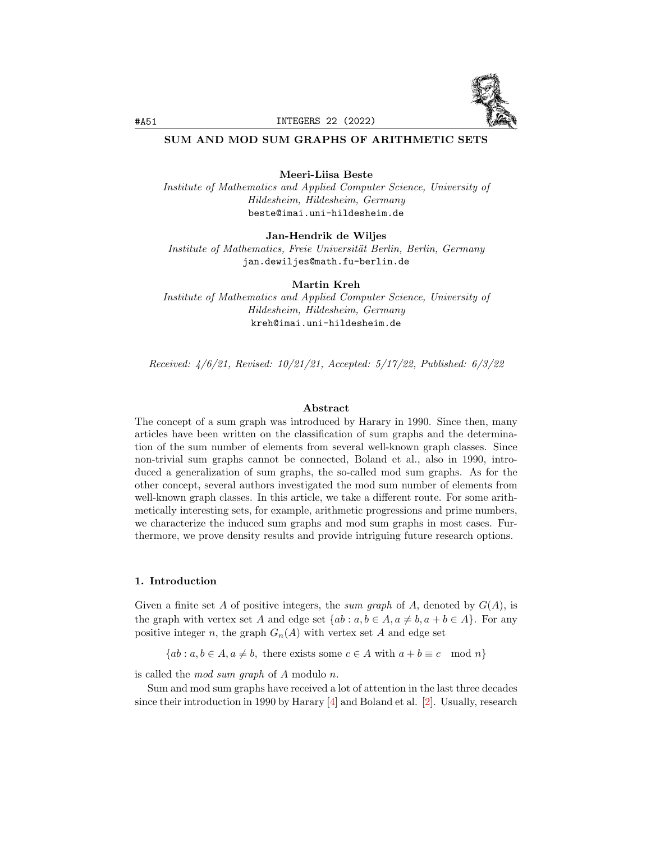

## SUM AND MOD SUM GRAPHS OF ARITHMETIC SETS

### Meeri-Liisa Beste

Institute of Mathematics and Applied Computer Science, University of Hildesheim, Hildesheim, Germany beste@imai.uni-hildesheim.de

### Jan-Hendrik de Wiljes

Institute of Mathematics, Freie Universität Berlin, Berlin, Germany jan.dewiljes@math.fu-berlin.de

Martin Kreh

Institute of Mathematics and Applied Computer Science, University of Hildesheim, Hildesheim, Germany kreh@imai.uni-hildesheim.de

Received: 4/6/21, Revised: 10/21/21, Accepted: 5/17/22, Published: 6/3/22

### Abstract

The concept of a sum graph was introduced by Harary in 1990. Since then, many articles have been written on the classification of sum graphs and the determination of the sum number of elements from several well-known graph classes. Since non-trivial sum graphs cannot be connected, Boland et al., also in 1990, introduced a generalization of sum graphs, the so-called mod sum graphs. As for the other concept, several authors investigated the mod sum number of elements from well-known graph classes. In this article, we take a different route. For some arithmetically interesting sets, for example, arithmetic progressions and prime numbers, we characterize the induced sum graphs and mod sum graphs in most cases. Furthermore, we prove density results and provide intriguing future research options.

### 1. Introduction

Given a finite set A of positive integers, the sum graph of A, denoted by  $G(A)$ , is the graph with vertex set A and edge set  $\{ab : a, b \in A, a \neq b, a + b \in A\}$ . For any positive integer n, the graph  $G_n(A)$  with vertex set A and edge set

 ${ab : a, b \in A, a \neq b, \text{ there exists some } c \in A \text{ with } a + b \equiv c \mod n}$ 

is called the mod sum graph of A modulo n.

Sum and mod sum graphs have received a lot of attention in the last three decades since their introduction in 1990 by Harary  $[4]$  and Boland et al.  $[2]$ . Usually, research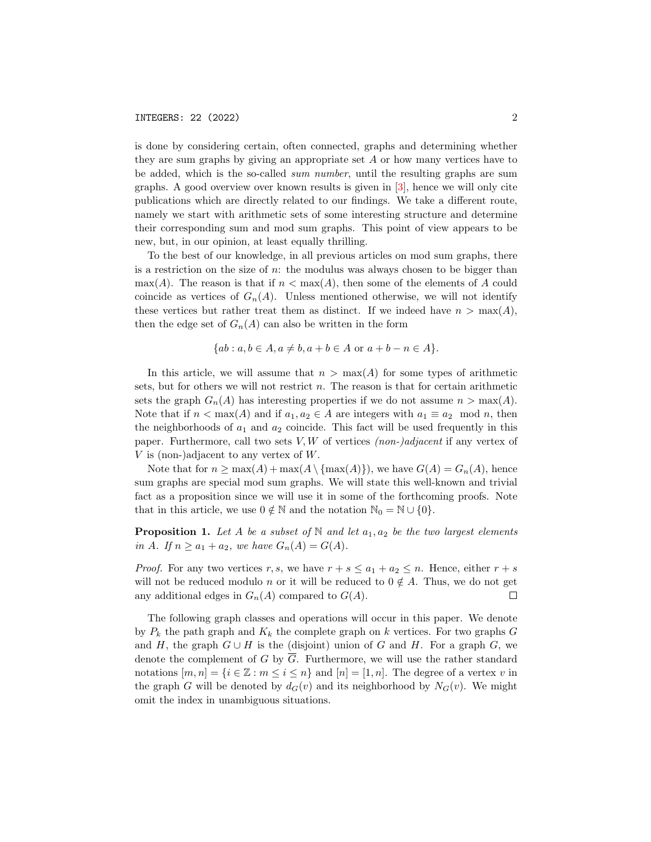is done by considering certain, often connected, graphs and determining whether they are sum graphs by giving an appropriate set A or how many vertices have to be added, which is the so-called sum number, until the resulting graphs are sum graphs. A good overview over known results is given in [\[3\]](#page-22-2), hence we will only cite publications which are directly related to our findings. We take a different route, namely we start with arithmetic sets of some interesting structure and determine their corresponding sum and mod sum graphs. This point of view appears to be new, but, in our opinion, at least equally thrilling.

To the best of our knowledge, in all previous articles on mod sum graphs, there is a restriction on the size of  $n$ : the modulus was always chosen to be bigger than  $\max(A)$ . The reason is that if  $n < \max(A)$ , then some of the elements of A could coincide as vertices of  $G_n(A)$ . Unless mentioned otherwise, we will not identify these vertices but rather treat them as distinct. If we indeed have  $n > \max(A)$ , then the edge set of  $G_n(A)$  can also be written in the form

$$
\{ab : a, b \in A, a \neq b, a+b \in A \text{ or } a+b-n \in A\}.
$$

In this article, we will assume that  $n > \max(A)$  for some types of arithmetic sets, but for others we will not restrict  $n$ . The reason is that for certain arithmetic sets the graph  $G_n(A)$  has interesting properties if we do not assume  $n > \max(A)$ . Note that if  $n < \max(A)$  and if  $a_1, a_2 \in A$  are integers with  $a_1 \equiv a_2 \mod n$ , then the neighborhoods of  $a_1$  and  $a_2$  coincide. This fact will be used frequently in this paper. Furthermore, call two sets  $V, W$  of vertices *(non-)adjacent* if any vertex of  $V$  is (non-)adjacent to any vertex of  $W$ .

Note that for  $n \ge \max(A) + \max(A \setminus {\max(A)}),$  we have  $G(A) = G_n(A)$ , hence sum graphs are special mod sum graphs. We will state this well-known and trivial fact as a proposition since we will use it in some of the forthcoming proofs. Note that in this article, we use  $0 \notin \mathbb{N}$  and the notation  $\mathbb{N}_0 = \mathbb{N} \cup \{0\}.$ 

<span id="page-1-0"></span>**Proposition 1.** Let A be a subset of N and let  $a_1, a_2$  be the two largest elements in A. If  $n \ge a_1 + a_2$ , we have  $G_n(A) = G(A)$ .

*Proof.* For any two vertices r, s, we have  $r + s \le a_1 + a_2 \le n$ . Hence, either  $r + s$ will not be reduced modulo n or it will be reduced to  $0 \notin A$ . Thus, we do not get any additional edges in  $G_n(A)$  compared to  $G(A)$ .  $\Box$ 

The following graph classes and operations will occur in this paper. We denote by  $P_k$  the path graph and  $K_k$  the complete graph on k vertices. For two graphs G and H, the graph  $G \cup H$  is the (disjoint) union of G and H. For a graph G, we denote the complement of G by  $\overline{G}$ . Furthermore, we will use the rather standard notations  $[m, n] = \{i \in \mathbb{Z} : m \leq i \leq n\}$  and  $[n] = [1, n]$ . The degree of a vertex v in the graph G will be denoted by  $d_G(v)$  and its neighborhood by  $N_G(v)$ . We might omit the index in unambiguous situations.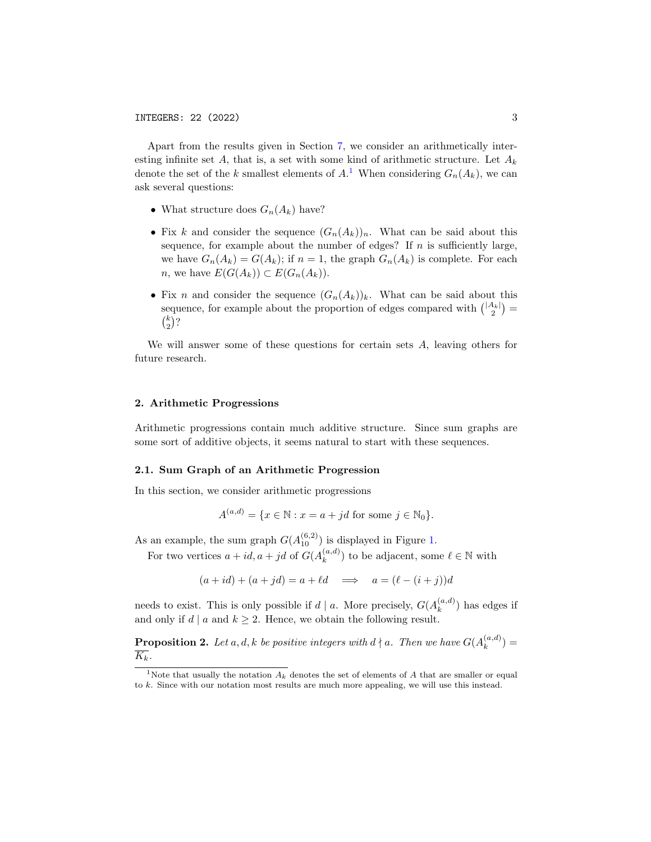Apart from the results given in Section [7,](#page-19-0) we consider an arithmetically interesting infinite set A, that is, a set with some kind of arithmetic structure. Let  $A_k$ denote the set of the k smallest elements of  $A$ <sup>[1](#page-2-0)</sup>. When considering  $G_n(A_k)$ , we can ask several questions:

- What structure does  $G_n(A_k)$  have?
- Fix k and consider the sequence  $(G_n(A_k))_n$ . What can be said about this sequence, for example about the number of edges? If  $n$  is sufficiently large, we have  $G_n(A_k) = G(A_k)$ ; if  $n = 1$ , the graph  $G_n(A_k)$  is complete. For each *n*, we have  $E(G(A_k)) \subset E(G_n(A_k)).$
- Fix n and consider the sequence  $(G_n(A_k))_k$ . What can be said about this sequence, for example about the proportion of edges compared with  $\binom{|A_k|}{2}$  $\binom{k}{2}$ ?

We will answer some of these questions for certain sets A, leaving others for future research.

### <span id="page-2-1"></span>2. Arithmetic Progressions

Arithmetic progressions contain much additive structure. Since sum graphs are some sort of additive objects, it seems natural to start with these sequences.

#### 2.1. Sum Graph of an Arithmetic Progression

In this section, we consider arithmetic progressions

$$
A^{(a,d)} = \{x \in \mathbb{N} : x = a + jd \text{ for some } j \in \mathbb{N}_0\}.
$$

As an example, the sum graph  $G(A_{10}^{(6,2)})$  is displayed in Figure [1.](#page-3-0)

For two vertices  $a + id, a + jd$  of  $G(A_k^{(a,d)})$  ${k(a,d) \choose k}$  to be adjacent, some  $\ell \in \mathbb{N}$  with

$$
(a + id) + (a + jd) = a + \ell d \implies a = (\ell - (i + j))d
$$

needs to exist. This is only possible if  $d | a$ . More precisely,  $G(A_k^{(a,d)})$  $\binom{a,a}{k}$  has edges if and only if  $d | a$  and  $k \geq 2$ . Hence, we obtain the following result.

**Proposition 2.** Let a, d, k be positive integers with  $d \nmid a$ . Then we have  $G(A_k^{(a,d)})$  $\binom{a,a}{k} =$  $\overline{K_k}$ .

<span id="page-2-0"></span><sup>&</sup>lt;sup>1</sup>Note that usually the notation  $A_k$  denotes the set of elements of  $A$  that are smaller or equal to k. Since with our notation most results are much more appealing, we will use this instead.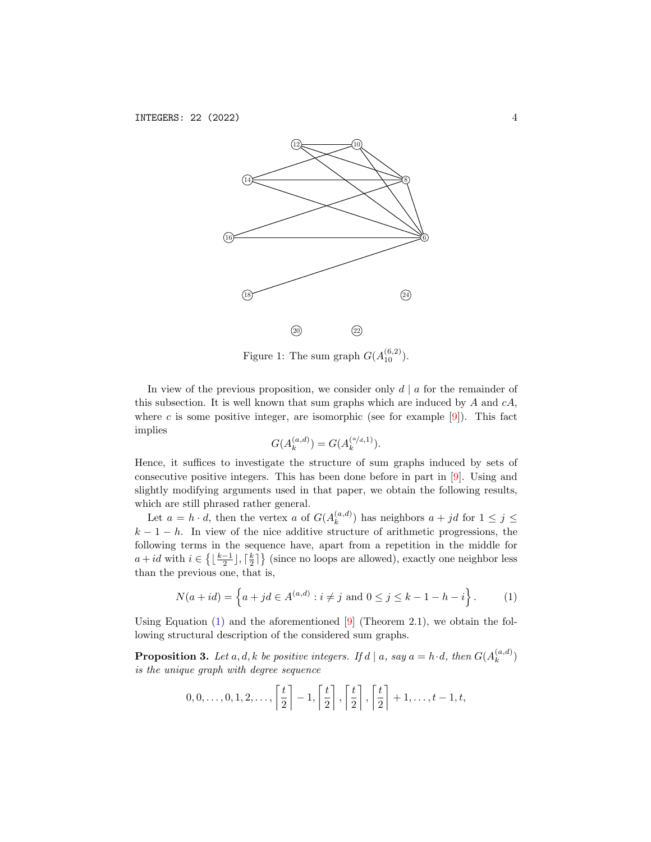

<span id="page-3-0"></span>Figure 1: The sum graph  $G(A_{10}^{(6,2)})$ .

In view of the previous proposition, we consider only  $d | a$  for the remainder of this subsection. It is well known that sum graphs which are induced by  $A$  and  $cA$ , where c is some positive integer, are isomorphic (see for example  $[9]$ ). This fact implies

<span id="page-3-1"></span>
$$
G(A_k^{(a,d)}) = G(A_k^{(a/d,1)}).
$$

Hence, it suffices to investigate the structure of sum graphs induced by sets of consecutive positive integers. This has been done before in part in [\[9\]](#page-22-3). Using and slightly modifying arguments used in that paper, we obtain the following results, which are still phrased rather general.

Let  $a = h \cdot d$ , then the vertex a of  $G(A_k^{(a,d)})$  $\binom{(a,a)}{k}$  has neighbors  $a + jd$  for  $1 \leq j \leq$  $k-1-h$ . In view of the nice additive structure of arithmetic progressions, the following terms in the sequence have, apart from a repetition in the middle for  $a + id$  with  $i \in \left\{ \lfloor \frac{k-1}{2} \rfloor, \lceil \frac{k}{2} \rceil \right\}$  (since no loops are allowed), exactly one neighbor less than the previous one, that is,

$$
N(a + id) = \left\{ a + jd \in A^{(a,d)} : i \neq j \text{ and } 0 \leq j \leq k - 1 - h - i \right\}.
$$
 (1)

Using Equation  $(1)$  and the aforementioned  $[9]$  (Theorem 2.1), we obtain the following structural description of the considered sum graphs.

**Proposition 3.** Let a, d, k be positive integers. If  $d \mid a$ , say  $a = h \cdot d$ , then  $G(A_k^{(a,d)})$  $\binom{(a,a)}{k}$ is the unique graph with degree sequence

$$
0,0,\ldots,0,1,2,\ldots,\left\lceil\frac{t}{2}\right\rceil-1,\left\lceil\frac{t}{2}\right\rceil,\left\lceil\frac{t}{2}\right\rceil,\left\lceil\frac{t}{2}\right\rceil+1,\ldots,t-1,t,
$$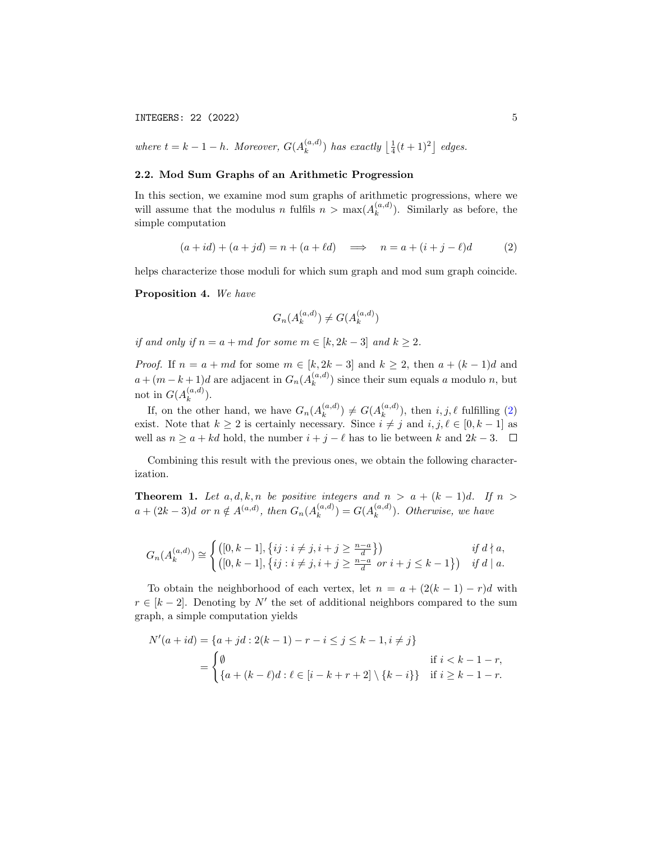INTEGERS: 22 (2022) 5

where  $t = k - 1 - h$ . Moreover,  $G(A_k^{(a,d)})$  $\binom{(a,d)}{k}$  has exactly  $\left\lfloor \frac{1}{4}(t+1)^2 \right\rfloor$  edges.

## 2.2. Mod Sum Graphs of an Arithmetic Progression

In this section, we examine mod sum graphs of arithmetic progressions, where we will assume that the modulus n fulfils  $n > \max(A_k^{(a,d)})$  $\binom{a,a}{k}$ . Similarly as before, the simple computation

$$
(a + id) + (a + jd) = n + (a + \ell d) \implies n = a + (i + j - \ell)d \tag{2}
$$

helps characterize those moduli for which sum graph and mod sum graph coincide.

Proposition 4. We have

<span id="page-4-0"></span>
$$
G_n(A_k^{(a,d)}) \neq G(A_k^{(a,d)})
$$

if and only if  $n = a + md$  for some  $m \in [k, 2k - 3]$  and  $k \ge 2$ .

*Proof.* If  $n = a + md$  for some  $m \in [k, 2k - 3]$  and  $k \ge 2$ , then  $a + (k - 1)d$  and  $a + (m - k + 1)d$  are adjacent in  $G_n(A_k^{(a,d)})$  $\binom{a,a}{k}$  since their sum equals a modulo n, but not in  $G(A_k^{(a,d)})$  $\binom{(a,a)}{k}$ .

If, on the other hand, we have  $G_n(A_k^{(a,d)})$  $_{k}^{(a,d)}) \neq G(A_{k}^{(a,d)})$  $\binom{(a,a)}{k}$ , then  $i, j, \ell$  fulfilling [\(2\)](#page-4-0) exist. Note that  $k \geq 2$  is certainly necessary. Since  $i \neq j$  and  $i, j, \ell \in [0, k - 1]$  as well as  $n \ge a + kd$  hold, the number  $i + j - \ell$  has to lie between k and  $2k - 3$ .  $\Box$ 

Combining this result with the previous ones, we obtain the following characterization.

**Theorem 1.** Let  $a, d, k, n$  be positive integers and  $n > a + (k - 1)d$ . If  $n >$  $a + (2k-3)d$  or  $n \notin A^{(a,d)}$ , then  $G_n(A_k^{(a,d)})$  $\binom{a,d}{k} = G(A_k^{(a,d)})$  $\binom{(a,a)}{k}$ . Otherwise, we have

$$
G_n(A_k^{(a,d)}) \cong \begin{cases} ([0,k-1], \{ij : i \neq j, i+j \geq \frac{n-a}{d}\}) & \text{if } d \nmid a, \\ ([0,k-1], \{ij : i \neq j, i+j \geq \frac{n-a}{d} \text{ or } i+j \leq k-1\}) & \text{if } d \mid a. \end{cases}
$$

To obtain the neighborhood of each vertex, let  $n = a + (2(k - 1) - r)d$  with  $r \in [k-2]$ . Denoting by N' the set of additional neighbors compared to the sum graph, a simple computation yields

$$
N'(a+id) = \{a+jd : 2(k-1) - r - i \le j \le k-1, i \ne j\}
$$
  
= 
$$
\begin{cases} \emptyset & \text{if } i < k-1-r, \\ \{a+(k-\ell)d : \ell \in [i-k+r+2] \setminus \{k-i\}\} & \text{if } i \ge k-1-r. \end{cases}
$$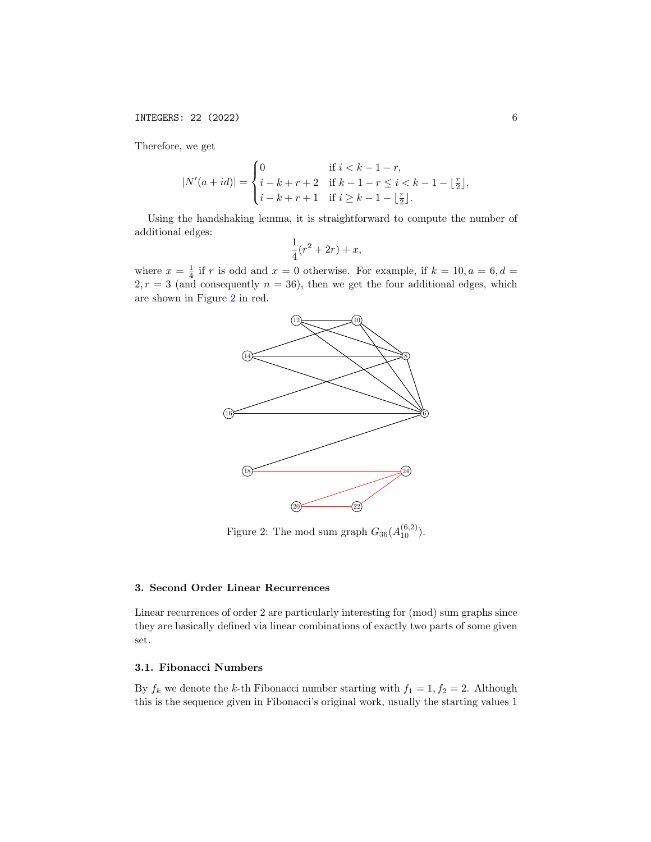Therefore, we get

$$
|N'(a+id)| = \begin{cases} 0 & \text{if } i < k-1-r, \\ i - k + r + 2 & \text{if } k-1-r \le i < k-1-\lfloor \frac{r}{2} \rfloor, \\ i - k + r + 1 & \text{if } i \ge k-1-\lfloor \frac{r}{2} \rfloor. \end{cases}
$$

Using the handshaking lemma, it is straightforward to compute the number of additional edges:

$$
\frac{1}{4}(r^2+2r)+x,
$$

where  $x = \frac{1}{4}$  if r is odd and  $x = 0$  otherwise. For example, if  $k = 10, a = 6, d =$  $2, r = 3$  (and consequently  $n = 36$ ), then we get the four additional edges, which are shown in Figure [2](#page-5-0) in red.



<span id="page-5-0"></span>Figure 2: The mod sum graph  $G_{36}(A_{10}^{(6,2)})$ .

## <span id="page-5-1"></span>3. Second Order Linear Recurrences

Linear recurrences of order 2 are particularly interesting for (mod) sum graphs since they are basically defined via linear combinations of exactly two parts of some given set.

### 3.1. Fibonacci Numbers

By  $f_k$  we denote the k-th Fibonacci number starting with  $f_1 = 1, f_2 = 2$ . Although this is the sequence given in Fibonacci's original work, usually the starting values 1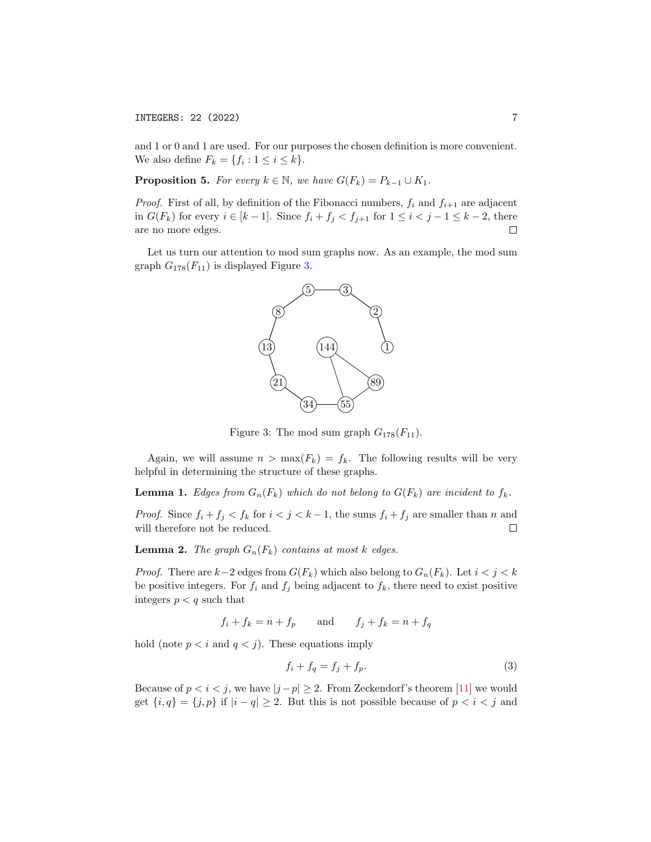## INTEGERS: 22 (2022) 7

and 1 or 0 and 1 are used. For our purposes the chosen definition is more convenient. We also define  $F_k = \{f_i : 1 \leq i \leq k\}.$ 

**Proposition 5.** For every  $k \in \mathbb{N}$ , we have  $G(F_k) = P_{k-1} \cup K_1$ .

*Proof.* First of all, by definition of the Fibonacci numbers,  $f_i$  and  $f_{i+1}$  are adjacent in  $G(F_k)$  for every  $i \in [k-1]$ . Since  $f_i + f_j < f_{j+1}$  for  $1 \leq i < j-1 \leq k-2$ , there are no more edges.  $\Box$ 

Let us turn our attention to mod sum graphs now. As an example, the mod sum graph  $G_{178}(F_{11})$  is displayed Figure [3.](#page-6-0)



<span id="page-6-0"></span>Figure 3: The mod sum graph  $G_{178}(F_{11})$ .

Again, we will assume  $n > \max(F_k) = f_k$ . The following results will be very helpful in determining the structure of these graphs.

**Lemma 1.** Edges from  $G_n(F_k)$  which do not belong to  $G(F_k)$  are incident to  $f_k$ .

*Proof.* Since  $f_i + f_j < f_k$  for  $i < j < k - 1$ , the sums  $f_i + f_j$  are smaller than n and will therefore not be reduced.  $\Box$ 

<span id="page-6-2"></span>**Lemma 2.** The graph  $G_n(F_k)$  contains at most k edges.

*Proof.* There are  $k-2$  edges from  $G(F_k)$  which also belong to  $G_n(F_k)$ . Let  $i < j < k$ be positive integers. For  $f_i$  and  $f_j$  being adjacent to  $f_k$ , there need to exist positive integers  $p < q$  such that

$$
f_i + f_k = n + f_p \qquad \text{and} \qquad f_j + f_k = n + f_q
$$

hold (note  $p < i$  and  $q < j$ ). These equations imply

<span id="page-6-1"></span>
$$
f_i + f_q = f_j + f_p. \tag{3}
$$

Because of  $p < i < j$ , we have  $|j - p| \ge 2$ . From Zeckendorf's theorem [\[11\]](#page-22-4) we would get  $\{i, q\} = \{j, p\}$  if  $|i - q| \geq 2$ . But this is not possible because of  $p < i < j$  and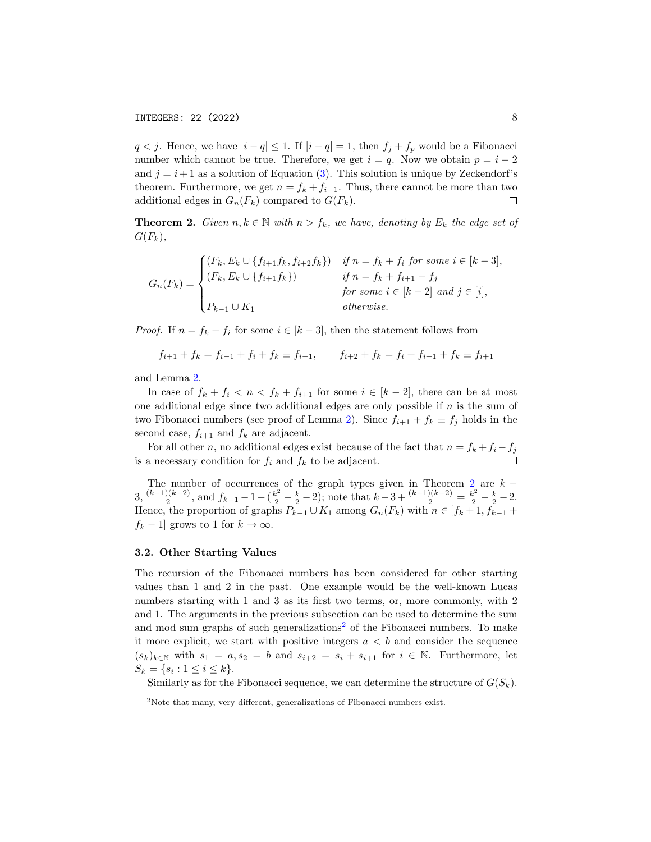$q < j$ . Hence, we have  $|i - q| \leq 1$ . If  $|i - q| = 1$ , then  $f_j + f_p$  would be a Fibonacci number which cannot be true. Therefore, we get  $i = q$ . Now we obtain  $p = i - 2$ and  $j = i + 1$  as a solution of Equation [\(3\)](#page-6-1). This solution is unique by Zeckendorf's theorem. Furthermore, we get  $n = f_k + f_{i-1}$ . Thus, there cannot be more than two additional edges in  $G_n(F_k)$  compared to  $G(F_k)$ .  $\Box$ 

<span id="page-7-0"></span>**Theorem 2.** Given  $n, k \in \mathbb{N}$  with  $n > f_k$ , we have, denoting by  $E_k$  the edge set of  $G(F_k),$ 

$$
G_n(F_k) = \begin{cases} (F_k, E_k \cup \{f_{i+1}f_k, f_{i+2}f_k\}) & \text{if } n = f_k + f_i \text{ for some } i \in [k-3],\\ (F_k, E_k \cup \{f_{i+1}f_k\}) & \text{if } n = f_k + f_{i+1} - f_j\\ & \text{for some } i \in [k-2] \text{ and } j \in [i],\\ P_{k-1} \cup K_1 & \text{otherwise.} \end{cases}
$$

*Proof.* If  $n = f_k + f_i$  for some  $i \in [k-3]$ , then the statement follows from

$$
f_{i+1} + f_k = f_{i-1} + f_i + f_k \equiv f_{i-1}, \qquad f_{i+2} + f_k = f_i + f_{i+1} + f_k \equiv f_{i+1}
$$

and Lemma [2.](#page-6-2)

In case of  $f_k + f_i < n < f_k + f_{i+1}$  for some  $i \in [k-2]$ , there can be at most one additional edge since two additional edges are only possible if  $n$  is the sum of two Fibonacci numbers (see proof of Lemma [2\)](#page-6-2). Since  $f_{i+1} + f_k \equiv f_j$  holds in the second case,  $f_{i+1}$  and  $f_k$  are adjacent.

For all other n, no additional edges exist because of the fact that  $n = f_k + f_i - f_j$ is a necessary condition for  $f_i$  and  $f_k$  to be adjacent.

The number of occurrences of the graph types given in Theorem [2](#page-7-0) are  $k 3, \frac{(k-1)(k-2)}{2}$  $\frac{2(k-2)}{2}$ , and  $f_{k-1}-1-(\frac{k^2}{2}-\frac{k}{2}-2)$ ; note that  $k-3+\frac{(k-1)(k-2)}{2}=\frac{k^2}{2}-\frac{k}{2}-2$ . Hence, the proportion of graphs  $P_{k-1} \cup K_1$  among  $G_n(F_k)$  with  $n \in [f_k + 1, f_{k-1} +$  $f_k - 1$  grows to 1 for  $k \to \infty$ .

#### 3.2. Other Starting Values

The recursion of the Fibonacci numbers has been considered for other starting values than 1 and 2 in the past. One example would be the well-known Lucas numbers starting with 1 and 3 as its first two terms, or, more commonly, with 2 and 1. The arguments in the previous subsection can be used to determine the sum and mod sum graphs of such generalizations<sup>[2](#page-7-1)</sup> of the Fibonacci numbers. To make it more explicit, we start with positive integers  $a < b$  and consider the sequence  $(s_k)_{k\in\mathbb{N}}$  with  $s_1 = a, s_2 = b$  and  $s_{i+2} = s_i + s_{i+1}$  for  $i \in \mathbb{N}$ . Furthermore, let  $S_k = \{s_i : 1 \le i \le k\}.$ 

Similarly as for the Fibonacci sequence, we can determine the structure of  $G(S_k)$ .

<span id="page-7-1"></span><sup>2</sup>Note that many, very different, generalizations of Fibonacci numbers exist.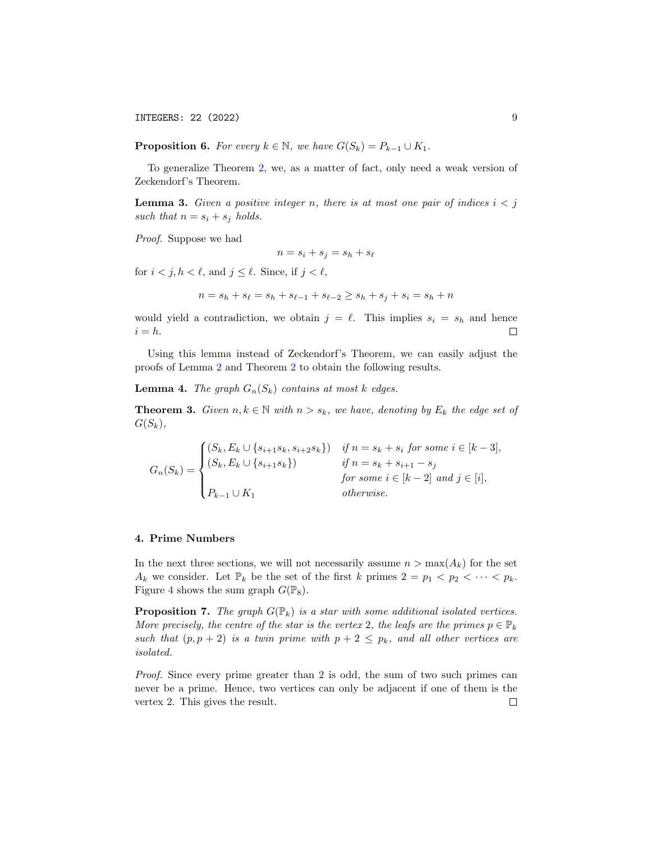INTEGERS: 22 (2022) 9

**Proposition 6.** For every  $k \in \mathbb{N}$ , we have  $G(S_k) = P_{k-1} \cup K_1$ .

To generalize Theorem [2,](#page-7-0) we, as a matter of fact, only need a weak version of Zeckendorf's Theorem.

**Lemma 3.** Given a positive integer n, there is at most one pair of indices  $i < j$ such that  $n = s_i + s_j$  holds.

Proof. Suppose we had

$$
n = s_i + s_j = s_h + s_\ell
$$

for  $i < j, h < \ell$ , and  $j \leq \ell$ . Since, if  $j < \ell$ ,

$$
n = s_h + s_\ell = s_h + s_{\ell-1} + s_{\ell-2} \ge s_h + s_j + s_i = s_h + n
$$

would yield a contradiction, we obtain  $j = \ell$ . This implies  $s_i = s_h$  and hence  $i = h$ .  $\Box$ 

Using this lemma instead of Zeckendorf's Theorem, we can easily adjust the proofs of Lemma [2](#page-6-2) and Theorem [2](#page-7-0) to obtain the following results.

**Lemma 4.** The graph  $G_n(S_k)$  contains at most k edges.

**Theorem 3.** Given  $n, k \in \mathbb{N}$  with  $n > s_k$ , we have, denoting by  $E_k$  the edge set of  $G(S_k),$ 

 $G_n(S_k) =$  $\sqrt{ }$  $\int$  $\overline{\mathcal{L}}$  $(S_k, E_k \cup \{s_{i+1}s_k, s_{i+2}s_k\})$  if  $n = s_k + s_i$  for some  $i \in [k-3]$ ,  $(S_k, E_k \cup \{s_{i+1}s_k\})$  if  $n = s_k + s_{i+1} - s_j$ for some  $i \in [k-2]$  and  $j \in [i]$ ,  $P_{k-1} \cup K_1$  otherwise.

### <span id="page-8-1"></span>4. Prime Numbers

In the next three sections, we will not necessarily assume  $n > \max(A_k)$  for the set  $A_k$  we consider. Let  $\mathbb{P}_k$  be the set of the first k primes  $2 = p_1 < p_2 < \cdots < p_k$ . Figure [4](#page-9-0) shows the sum graph  $G(\mathbb{P}_8)$ .

<span id="page-8-0"></span>**Proposition 7.** The graph  $G(\mathbb{P}_k)$  is a star with some additional isolated vertices. More precisely, the centre of the star is the vertex 2, the leafs are the primes  $p \in \mathbb{P}_k$ such that  $(p, p + 2)$  is a twin prime with  $p + 2 \leq p_k$ , and all other vertices are isolated.

Proof. Since every prime greater than 2 is odd, the sum of two such primes can never be a prime. Hence, two vertices can only be adjacent if one of them is the vertex 2. This gives the result. $\Box$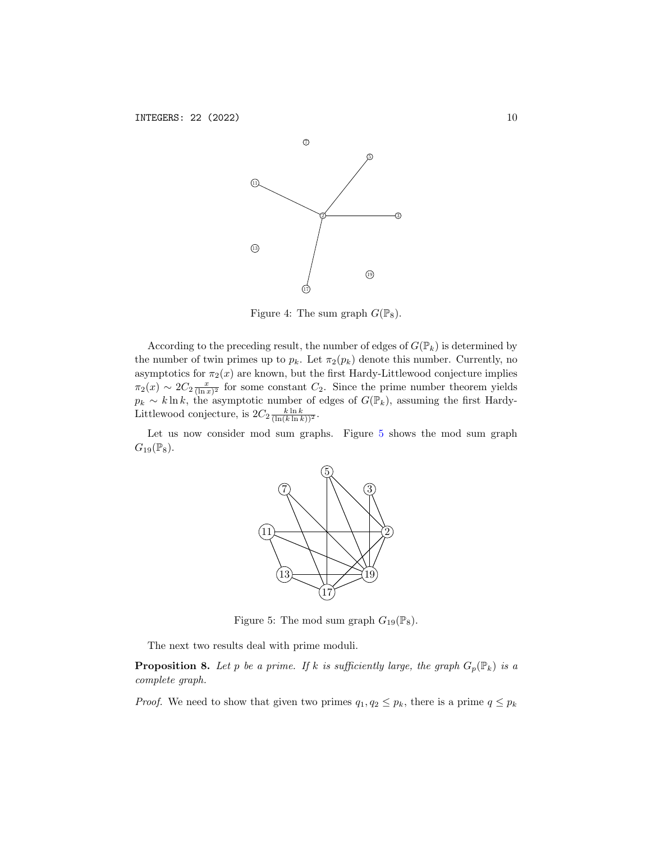

<span id="page-9-0"></span>Figure 4: The sum graph  $G(\mathbb{P}_8)$ .

According to the preceding result, the number of edges of  $G(\mathbb{P}_k)$  is determined by the number of twin primes up to  $p_k$ . Let  $\pi_2(p_k)$  denote this number. Currently, no asymptotics for  $\pi_2(x)$  are known, but the first Hardy-Littlewood conjecture implies  $\pi_2(x) \sim 2C_2 \frac{x}{(\ln x)^2}$  for some constant  $C_2$ . Since the prime number theorem yields  $p_k \sim k \ln k$ , the asymptotic number of edges of  $G(\mathbb{P}_k)$ , assuming the first Hardy-Littlewood conjecture, is  $2C_2 \frac{k \ln k}{(\ln(k) \ln k))^2}$ .

Let us now consider mod sum graphs. Figure [5](#page-9-1) shows the mod sum graph  $G_{19}(\mathbb{P}_8).$ 



<span id="page-9-1"></span>Figure 5: The mod sum graph  $G_{19}(\mathbb{P}_8)$ .

The next two results deal with prime moduli.

<span id="page-9-2"></span>**Proposition 8.** Let p be a prime. If k is sufficiently large, the graph  $G_p(\mathbb{P}_k)$  is a complete graph.

*Proof.* We need to show that given two primes  $q_1, q_2 \leq p_k$ , there is a prime  $q \leq p_k$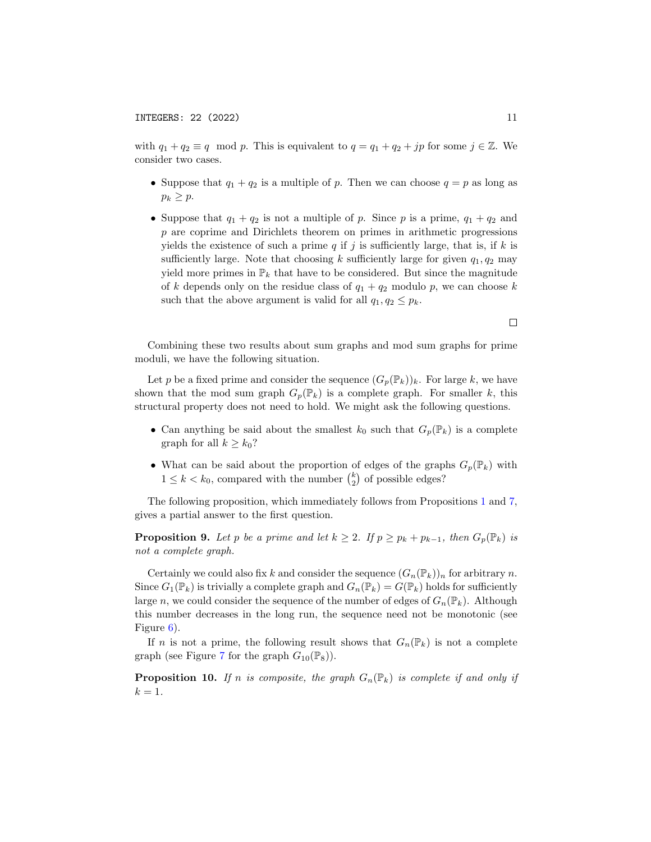with  $q_1 + q_2 \equiv q \mod p$ . This is equivalent to  $q = q_1 + q_2 + jp$  for some  $j \in \mathbb{Z}$ . We consider two cases.

- Suppose that  $q_1 + q_2$  is a multiple of p. Then we can choose  $q = p$  as long as  $p_k \geq p$ .
- Suppose that  $q_1 + q_2$  is not a multiple of p. Since p is a prime,  $q_1 + q_2$  and p are coprime and Dirichlets theorem on primes in arithmetic progressions yields the existence of such a prime  $q$  if  $j$  is sufficiently large, that is, if  $k$  is sufficiently large. Note that choosing k sufficiently large for given  $q_1, q_2$  may yield more primes in  $\mathbb{P}_k$  that have to be considered. But since the magnitude of k depends only on the residue class of  $q_1 + q_2$  modulo p, we can choose k such that the above argument is valid for all  $q_1, q_2 \leq p_k$ .

Combining these two results about sum graphs and mod sum graphs for prime moduli, we have the following situation.

Let p be a fixed prime and consider the sequence  $(G_p(\mathbb{P}_k))_k$ . For large k, we have shown that the mod sum graph  $G_p(\mathbb{P}_k)$  is a complete graph. For smaller k, this structural property does not need to hold. We might ask the following questions.

- Can anything be said about the smallest  $k_0$  such that  $G_p(\mathbb{P}_k)$  is a complete graph for all  $k \geq k_0$ ?
- What can be said about the proportion of edges of the graphs  $G_p(\mathbb{P}_k)$  with  $1 \leq k < k_0$ , compared with the number  $\binom{k}{2}$  of possible edges?

The following proposition, which immediately follows from Propositions [1](#page-1-0) and [7,](#page-8-0) gives a partial answer to the first question.

**Proposition 9.** Let p be a prime and let  $k \geq 2$ . If  $p \geq p_k + p_{k-1}$ , then  $G_p(\mathbb{P}_k)$  is not a complete graph.

Certainly we could also fix k and consider the sequence  $(G_n(\mathbb{P}_k))_n$  for arbitrary n. Since  $G_1(\mathbb{P}_k)$  is trivially a complete graph and  $G_n(\mathbb{P}_k) = G(\mathbb{P}_k)$  holds for sufficiently large n, we could consider the sequence of the number of edges of  $G_n(\mathbb{P}_k)$ . Although this number decreases in the long run, the sequence need not be monotonic (see Figure [6\)](#page-11-0).

If n is not a prime, the following result shows that  $G_n(\mathbb{P}_k)$  is not a complete graph (see Figure [7](#page-11-1) for the graph  $G_{10}(\mathbb{P}_8)$ ).

**Proposition 10.** If n is composite, the graph  $G_n(\mathbb{P}_k)$  is complete if and only if  $k=1$ .

 $\Box$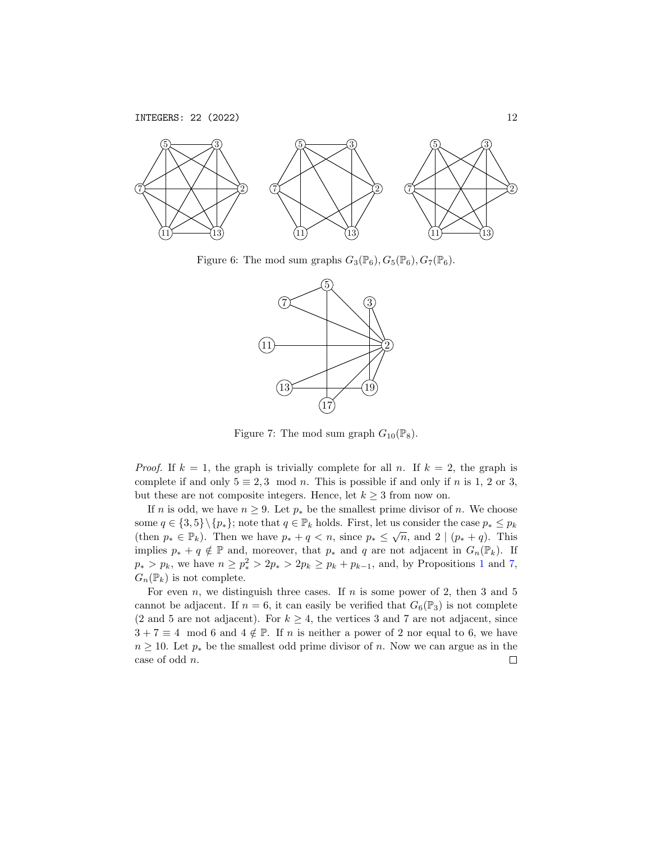

Figure 6: The mod sum graphs  $G_3(\mathbb{P}_6)$ ,  $G_5(\mathbb{P}_6)$ ,  $G_7(\mathbb{P}_6)$ .

<span id="page-11-0"></span>

<span id="page-11-1"></span>Figure 7: The mod sum graph  $G_{10}(\mathbb{P}_8)$ .

*Proof.* If  $k = 1$ , the graph is trivially complete for all n. If  $k = 2$ , the graph is complete if and only  $5 \equiv 2, 3 \mod n$ . This is possible if and only if n is 1, 2 or 3, but these are not composite integers. Hence, let  $k \geq 3$  from now on.

If n is odd, we have  $n \geq 9$ . Let  $p_*$  be the smallest prime divisor of n. We choose some  $q \in \{3, 5\} \setminus \{p_*\}$ ; note that  $q \in \mathbb{P}_k$  holds. First, let us consider the case  $p_* \leq p_k$ (then  $p_* \in \mathbb{P}_k$ ). Then we have  $p_* + q < n$ , since  $p_* \leq \sqrt{n}$ , and  $2 | (p_* + q)$ . This implies  $p_* + q \notin \mathbb{P}$  and, moreover, that  $p_*$  and q are not adjacent in  $G_n(\mathbb{P}_k)$ . If  $p_* > p_k$ , we have  $n \ge p_*^2 > 2p_* > 2p_k \ge p_k + p_{k-1}$  $n \ge p_*^2 > 2p_* > 2p_k \ge p_k + p_{k-1}$  $n \ge p_*^2 > 2p_* > 2p_k \ge p_k + p_{k-1}$ , and, by Propositions 1 and [7,](#page-8-0)  $G_n(\mathbb{P}_k)$  is not complete.

For even n, we distinguish three cases. If n is some power of 2, then 3 and 5 cannot be adjacent. If  $n = 6$ , it can easily be verified that  $G_6(\mathbb{P}_3)$  is not complete (2 and 5 are not adjacent). For  $k \geq 4$ , the vertices 3 and 7 are not adjacent, since  $3 + 7 \equiv 4 \mod 6$  and  $4 \notin \mathbb{P}$ . If n is neither a power of 2 nor equal to 6, we have  $n \geq 10$ . Let  $p_*$  be the smallest odd prime divisor of n. Now we can argue as in the case of odd n. $\Box$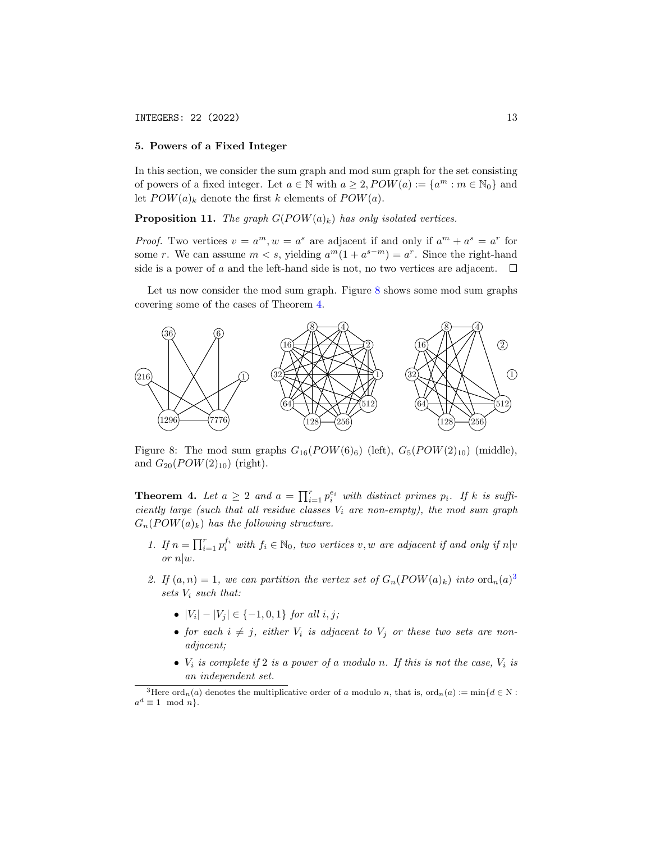### <span id="page-12-3"></span>5. Powers of a Fixed Integer

In this section, we consider the sum graph and mod sum graph for the set consisting of powers of a fixed integer. Let  $a \in \mathbb{N}$  with  $a \geq 2$ ,  $POW(a) := \{a^m : m \in \mathbb{N}_0\}$  and let  $POW(a)_k$  denote the first k elements of  $POW(a)$ .

**Proposition 11.** The graph  $G(POW(a)_k)$  has only isolated vertices.

*Proof.* Two vertices  $v = a^m, w = a^s$  are adjacent if and only if  $a^m + a^s = a^r$  for some r. We can assume  $m < s$ , yielding  $a^m(1 + a^{s-m}) = a^r$ . Since the right-hand side is a power of a and the left-hand side is not, no two vertices are adjacent.  $\Box$ 

Let us now consider the mod sum graph. Figure [8](#page-12-0) shows some mod sum graphs covering some of the cases of Theorem [4.](#page-12-1)



<span id="page-12-0"></span>Figure 8: The mod sum graphs  $G_{16}(POW(6)_6)$  (left),  $G_5(POW(2)_{10})$  (middle), and  $G_{20}(POW(2)_{10})$  (right).

<span id="page-12-1"></span>**Theorem 4.** Let  $a \geq 2$  and  $a = \prod_{i=1}^r p_i^{e_i}$  with distinct primes  $p_i$ . If k is sufficiently large (such that all residue classes  $V_i$  are non-empty), the mod sum graph  $G_n(POW(a)_k)$  has the following structure.

- 1. If  $n = \prod_{i=1}^r p_i^{f_i}$  with  $f_i \in \mathbb{N}_0$ , two vertices v, w are adjacent if and only if  $n|v$  $or$   $n|w$ .
- 2. If  $(a, n) = 1$ , we can partition the vertex set of  $G_n(POW(a)_k)$  into  $\text{ord}_n(a)^3$  $\text{ord}_n(a)^3$ sets  $V_i$  such that:
	- $|V_i| |V_j| \in \{-1, 0, 1\}$  for all  $i, j$ ;
	- for each  $i \neq j$ , either  $V_i$  is adjacent to  $V_j$  or these two sets are nonadjacent;
	- $V_i$  is complete if 2 is a power of a modulo n. If this is not the case,  $V_i$  is an independent set.

<span id="page-12-2"></span><sup>&</sup>lt;sup>3</sup>Here ord<sub>n</sub>(a) denotes the multiplicative order of a modulo n, that is, ord<sub>n</sub>(a) := min{d 
ightarrow N.  $a^d \equiv 1 \mod n$ .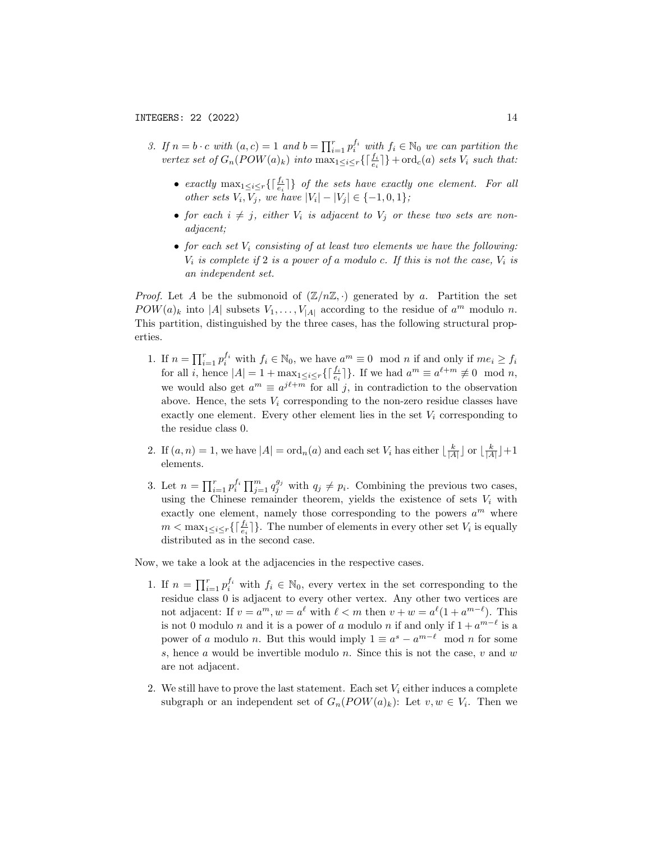- 3. If  $n = b \cdot c$  with  $(a, c) = 1$  and  $b = \prod_{i=1}^r p_i^{f_i}$  with  $f_i \in \mathbb{N}_0$  we can partition the vertex set of  $G_n(POW(a)_k)$  into  $\max_{1 \leq i \leq r} \{ \lceil \frac{f_i}{e_i} \rceil \} + \text{ord}_c(a)$  sets  $V_i$  such that:
	- exactly  $\max_{1 \leq i \leq r} \{\lceil \frac{f_i}{e_i} \rceil\}$  of the sets have exactly one element. For all other sets  $V_i, V_j$ , we have  $|V_i| - |V_j| \in \{-1, 0, 1\}$ ;
	- for each  $i \neq j$ , either  $V_i$  is adjacent to  $V_j$  or these two sets are nonadjacent;
	- for each set  $V_i$  consisting of at least two elements we have the following:  $V_i$  is complete if 2 is a power of a modulo c. If this is not the case,  $V_i$  is an independent set.

*Proof.* Let A be the submonoid of  $(\mathbb{Z}/n\mathbb{Z}, \cdot)$  generated by a. Partition the set  $POW(a)_k$  into |A| subsets  $V_1, \ldots, V_{|A|}$  according to the residue of  $a^m$  modulo n. This partition, distinguished by the three cases, has the following structural properties.

- 1. If  $n = \prod_{i=1}^r p_i^{f_i}$  with  $f_i \in \mathbb{N}_0$ , we have  $a^m \equiv 0 \mod n$  if and only if  $me_i \ge f_i$ for all *i*, hence  $|A| = 1 + \max_{1 \leq i \leq r} \{ \lceil \frac{f_i}{e_i} \rceil \}$ . If we had  $a^m \equiv a^{\ell+m} \not\equiv 0 \mod n$ , we would also get  $a^m \equiv a^{j\ell+m}$  for all j, in contradiction to the observation above. Hence, the sets  $V_i$  corresponding to the non-zero residue classes have exactly one element. Every other element lies in the set  $V_i$  corresponding to the residue class 0.
- 2. If  $(a, n) = 1$ , we have  $|A| = \text{ord}_n(a)$  and each set  $V_i$  has either  $\lfloor \frac{k}{|A|} \rfloor$  or  $\lfloor \frac{k}{|A|} \rfloor + 1$ elements.
- 3. Let  $n = \prod_{i=1}^r p_i^{f_i} \prod_{j=1}^m q_j^{g_j}$  with  $q_j \neq p_i$ . Combining the previous two cases, using the Chinese remainder theorem, yields the existence of sets  $V_i$  with exactly one element, namely those corresponding to the powers  $a^m$  where  $m < \max_{1 \leq i \leq r} \{ \lceil \frac{f_i}{e_i} \rceil \}$ . The number of elements in every other set  $V_i$  is equally distributed as in the second case.

Now, we take a look at the adjacencies in the respective cases.

- 1. If  $n = \prod_{i=1}^r p_i^{f_i}$  with  $f_i \in \mathbb{N}_0$ , every vertex in the set corresponding to the residue class 0 is adjacent to every other vertex. Any other two vertices are not adjacent: If  $v = a^m$ ,  $w = a^{\ell}$  with  $\ell < m$  then  $v + w = a^{\ell}(1 + a^{m-\ell})$ . This is not 0 modulo *n* and it is a power of a modulo *n* if and only if  $1 + a^{m-\ell}$  is a power of a modulo n. But this would imply  $1 \equiv a^s - a^{m-\ell} \mod n$  for some s, hence a would be invertible modulo n. Since this is not the case,  $v$  and  $w$ are not adjacent.
- 2. We still have to prove the last statement. Each set  $V_i$  either induces a complete subgraph or an independent set of  $G_n(POW(a)_k)$ : Let  $v, w \in V_i$ . Then we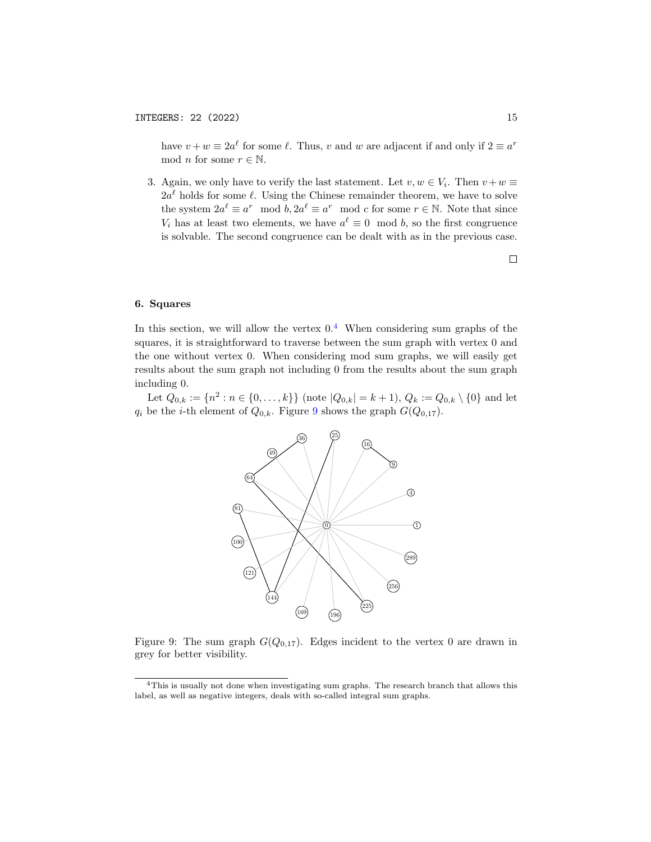have  $v + w \equiv 2a^{\ell}$  for some  $\ell$ . Thus, v and w are adjacent if and only if  $2 \equiv a^r$ mod *n* for some  $r \in \mathbb{N}$ .

3. Again, we only have to verify the last statement. Let  $v, w \in V_i$ . Then  $v + w \equiv$  $2a^{\ell}$  holds for some  $\ell$ . Using the Chinese remainder theorem, we have to solve the system  $2a^{\ell} \equiv a^r \mod b$ ,  $2a^{\ell} \equiv a^r \mod c$  for some  $r \in \mathbb{N}$ . Note that since  $V_i$  has at least two elements, we have  $a^{\ell} \equiv 0 \mod b$ , so the first congruence is solvable. The second congruence can be dealt with as in the previous case.



# <span id="page-14-2"></span>6. Squares

In this section, we will allow the vertex  $0<sup>4</sup>$  $0<sup>4</sup>$  $0<sup>4</sup>$  When considering sum graphs of the squares, it is straightforward to traverse between the sum graph with vertex 0 and the one without vertex 0. When considering mod sum graphs, we will easily get results about the sum graph not including 0 from the results about the sum graph including 0.

Let  $Q_{0,k} := \{n^2 : n \in \{0, ..., k\}\}\)$  (note  $|Q_{0,k}| = k+1$ ),  $Q_k := Q_{0,k} \setminus \{0\}$  and let  $q_i$  be the *i*-th element of  $Q_{0,k}$ . Figure [9](#page-14-1) shows the graph  $G(Q_{0,17})$ .



<span id="page-14-1"></span>Figure 9: The sum graph  $G(Q_{0,17})$ . Edges incident to the vertex 0 are drawn in grey for better visibility.

<span id="page-14-0"></span><sup>4</sup>This is usually not done when investigating sum graphs. The research branch that allows this label, as well as negative integers, deals with so-called integral sum graphs.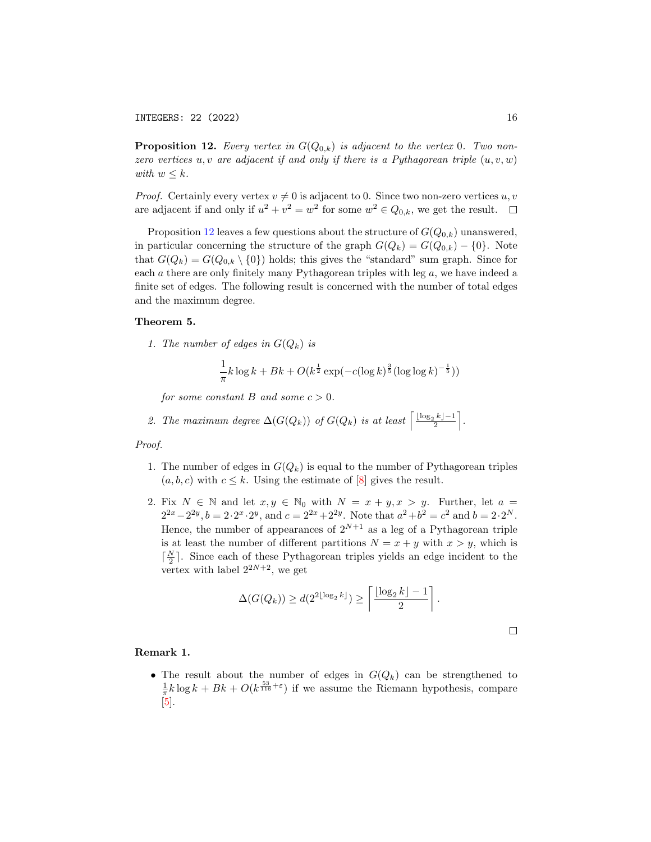<span id="page-15-0"></span>**Proposition 12.** Every vertex in  $G(Q_{0,k})$  is adjacent to the vertex 0. Two nonzero vertices u, v are adjacent if and only if there is a Pythagorean triple  $(u, v, w)$ with  $w \leq k$ .

*Proof.* Certainly every vertex  $v \neq 0$  is adjacent to 0. Since two non-zero vertices u, v are adjacent if and only if  $u^2 + v^2 = w^2$  for some  $w^2 \in Q_{0,k}$ , we get the result.

Proposition [12](#page-15-0) leaves a few questions about the structure of  $G(Q_{0,k})$  unanswered, in particular concerning the structure of the graph  $G(Q_k) = G(Q_{0,k}) - \{0\}$ . Note that  $G(Q_k) = G(Q_{0,k} \setminus \{0\})$  holds; this gives the "standard" sum graph. Since for each  $a$  there are only finitely many Pythagorean triples with leg  $a$ , we have indeed a finite set of edges. The following result is concerned with the number of total edges and the maximum degree.

### Theorem 5.

1. The number of edges in  $G(Q_k)$  is

$$
\frac{1}{\pi}k\log k + Bk + O(k^{\frac{1}{2}}\exp(-c(\log k)^{\frac{3}{5}}(\log \log k)^{-\frac{1}{5}}))
$$

for some constant B and some  $c > 0$ .

2. The maximum degree 
$$
\Delta(G(Q_k))
$$
 of  $G(Q_k)$  is at least  $\left\lceil \frac{\lfloor \log_2 k \rfloor - 1}{2} \right\rceil$ .

Proof.

- 1. The number of edges in  $G(Q_k)$  is equal to the number of Pythagorean triples  $(a, b, c)$  with  $c \leq k$ . Using the estimate of [\[8\]](#page-22-5) gives the result.
- 2. Fix  $N \in \mathbb{N}$  and let  $x, y \in \mathbb{N}_0$  with  $N = x + y, x > y$ . Further, let  $a =$  $2^{2x}-2^{2y}, b=2 \cdot 2^x \cdot 2^y$ , and  $c=2^{2x}+2^{2y}$ . Note that  $a^2+b^2=c^2$  and  $b=2 \cdot 2^N$ . Hence, the number of appearances of  $2^{N+1}$  as a leg of a Pythagorean triple is at least the number of different partitions  $N = x + y$  with  $x > y$ , which is  $\lceil \frac{N}{2} \rceil$ . Since each of these Pythagorean triples yields an edge incident to the vertex with label  $2^{2N+2}$ , we get

$$
\Delta(G(Q_k)) \ge d(2^{2\lfloor \log_2 k \rfloor}) \ge \left\lceil \frac{\lfloor \log_2 k \rfloor - 1}{2} \right\rceil.
$$

### Remark 1.

• The result about the number of edges in  $G(Q_k)$  can be strengthened to  $\frac{1}{\pi}k\log k + Bk + O(k^{\frac{53}{116}+\epsilon})$  if we assume the Riemann hypothesis, compare [\[5\]](#page-22-6).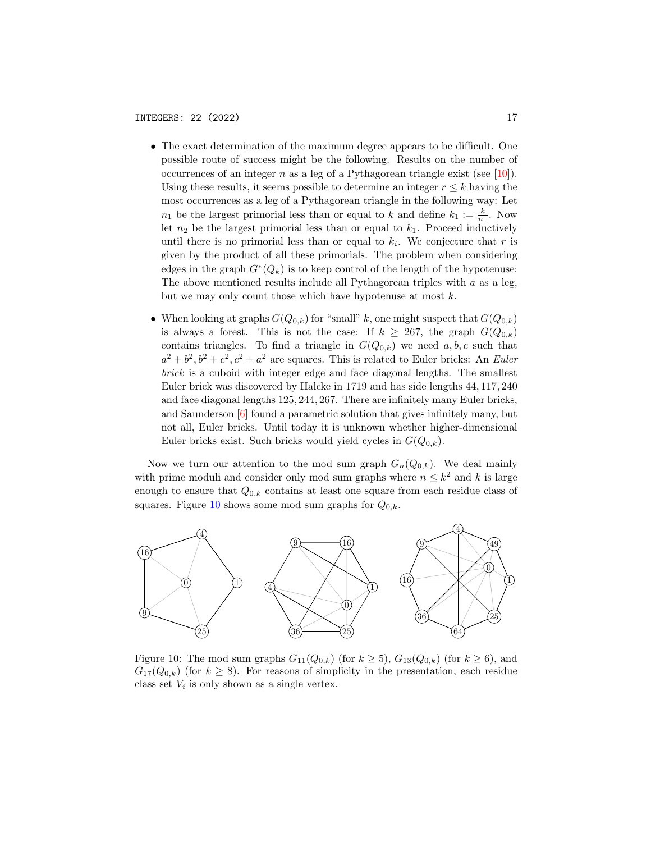- The exact determination of the maximum degree appears to be difficult. One possible route of success might be the following. Results on the number of occurrences of an integer n as a leg of a Pythagorean triangle exist (see [\[10\]](#page-22-7)). Using these results, it seems possible to determine an integer  $r \leq k$  having the most occurrences as a leg of a Pythagorean triangle in the following way: Let  $n_1$  be the largest primorial less than or equal to k and define  $k_1 := \frac{k}{n_1}$ . Now let  $n_2$  be the largest primorial less than or equal to  $k_1$ . Proceed inductively until there is no primorial less than or equal to  $k_i$ . We conjecture that r is given by the product of all these primorials. The problem when considering edges in the graph  $G^*(Q_k)$  is to keep control of the length of the hypotenuse: The above mentioned results include all Pythagorean triples with  $a$  as a leg, but we may only count those which have hypotenuse at most  $k$ .
- When looking at graphs  $G(Q_{0,k})$  for "small" k, one might suspect that  $G(Q_{0,k})$ is always a forest. This is not the case: If  $k \geq 267$ , the graph  $G(Q_{0,k})$ contains triangles. To find a triangle in  $G(Q_{0,k})$  we need  $a, b, c$  such that  $a^2 + b^2$ ,  $b^2 + c^2$ ,  $c^2 + a^2$  are squares. This is related to Euler bricks: An Euler brick is a cuboid with integer edge and face diagonal lengths. The smallest Euler brick was discovered by Halcke in 1719 and has side lengths 44, 117, 240 and face diagonal lengths 125, 244, 267. There are infinitely many Euler bricks, and Saunderson [\[6\]](#page-22-8) found a parametric solution that gives infinitely many, but not all, Euler bricks. Until today it is unknown whether higher-dimensional Euler bricks exist. Such bricks would yield cycles in  $G(Q_{0,k})$ .

Now we turn our attention to the mod sum graph  $G_n(Q_{0,k})$ . We deal mainly with prime moduli and consider only mod sum graphs where  $n \leq k^2$  and k is large enough to ensure that  $Q_{0,k}$  contains at least one square from each residue class of squares. Figure [10](#page-16-0) shows some mod sum graphs for  $Q_{0,k}$ .



<span id="page-16-0"></span>Figure 10: The mod sum graphs  $G_{11}(Q_{0,k})$  (for  $k \ge 5$ ),  $G_{13}(Q_{0,k})$  (for  $k \ge 6$ ), and  $G_{17}(Q_{0,k})$  (for  $k \geq 8$ ). For reasons of simplicity in the presentation, each residue class set  $V_i$  is only shown as a single vertex.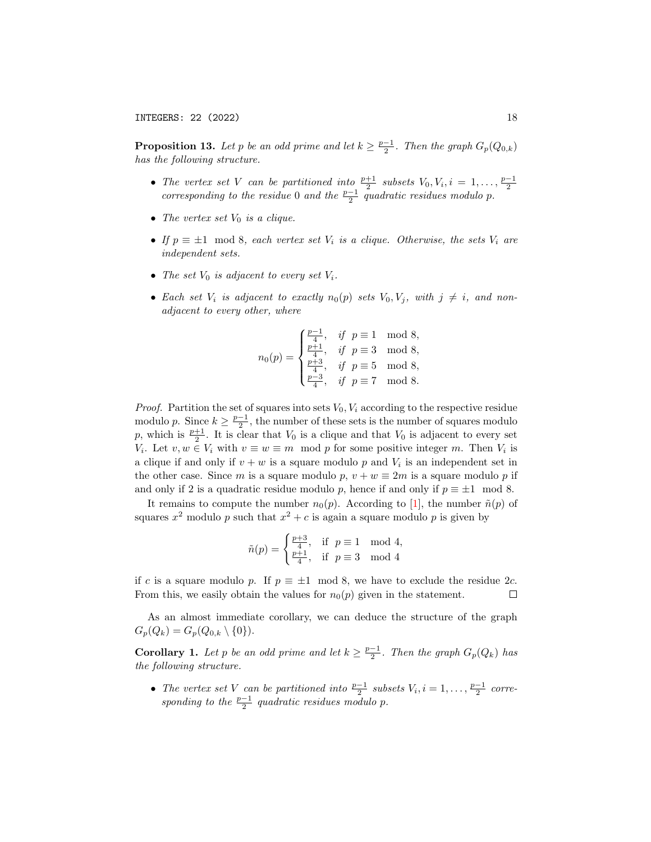<span id="page-17-0"></span>**Proposition 13.** Let p be an odd prime and let  $k \geq \frac{p-1}{2}$ . Then the graph  $G_p(Q_{0,k})$ has the following structure.

- The vertex set V can be partitioned into  $\frac{p+1}{2}$  subsets  $V_0, V_i, i = 1, ..., \frac{p-1}{2}$  corresponding to the residue 0 and the  $\frac{p-1}{2}$  quadratic residues modulo p.
- The vertex set  $V_0$  is a clique.
- If  $p \equiv \pm 1 \mod 8$ , each vertex set  $V_i$  is a clique. Otherwise, the sets  $V_i$  are independent sets.
- The set  $V_0$  is adjacent to every set  $V_i$ .
- Each set  $V_i$  is adjacent to exactly  $n_0(p)$  sets  $V_0, V_j$ , with  $j \neq i$ , and nonadjacent to every other, where

$$
n_0(p) = \begin{cases} \frac{p-1}{4}, & \text{if } p \equiv 1 \mod 8, \\ \frac{p+1}{4}, & \text{if } p \equiv 3 \mod 8, \\ \frac{p+3}{4}, & \text{if } p \equiv 5 \mod 8, \\ \frac{p-3}{4}, & \text{if } p \equiv 7 \mod 8. \end{cases}
$$

*Proof.* Partition the set of squares into sets  $V_0$ ,  $V_i$  according to the respective residue modulo p. Since  $k \geq \frac{p-1}{2}$ , the number of these sets is the number of squares modulo p, which is  $\frac{p+1}{2}$ . It is clear that  $V_0$  is a clique and that  $V_0$  is adjacent to every set  $V_i$ . Let  $v, w \in V_i$  with  $v \equiv w \equiv m \mod p$  for some positive integer m. Then  $V_i$  is a clique if and only if  $v + w$  is a square modulo p and  $V_i$  is an independent set in the other case. Since m is a square modulo p,  $v + w \equiv 2m$  is a square modulo p if and only if 2 is a quadratic residue modulo p, hence if and only if  $p \equiv \pm 1 \mod 8$ .

It remains to compute the number  $n_0(p)$ . According to [\[1\]](#page-21-0), the number  $\tilde{n}(p)$  of squares  $x^2$  modulo p such that  $x^2 + c$  is again a square modulo p is given by

$$
\tilde{n}(p) = \begin{cases} \frac{p+3}{4}, & \text{if } p \equiv 1 \mod 4, \\ \frac{p+1}{4}, & \text{if } p \equiv 3 \mod 4 \end{cases}
$$

if c is a square modulo p. If  $p \equiv \pm 1 \mod 8$ , we have to exclude the residue 2c. From this, we easily obtain the values for  $n_0(p)$  given in the statement.  $\Box$ 

As an almost immediate corollary, we can deduce the structure of the graph  $G_p(Q_k) = G_p(Q_{0,k} \setminus \{0\}).$ 

**Corollary 1.** Let p be an odd prime and let  $k \geq \frac{p-1}{2}$ . Then the graph  $G_p(Q_k)$  has the following structure.

• The vertex set V can be partitioned into  $\frac{p-1}{2}$  subsets  $V_i, i = 1, \ldots, \frac{p-1}{2}$  corresponding to the  $\frac{p-1}{2}$  quadratic residues modulo p.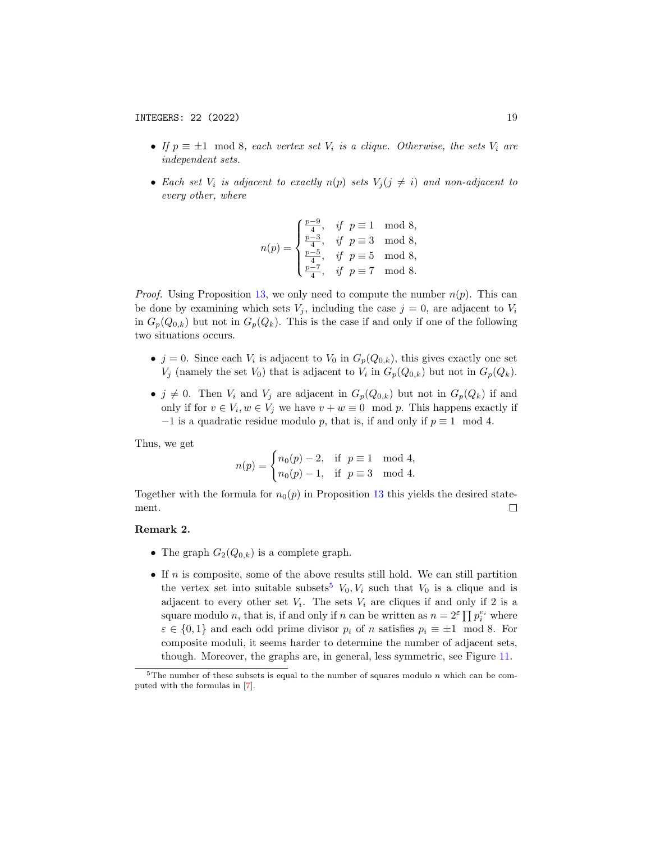- If  $p \equiv \pm 1 \mod 8$ , each vertex set  $V_i$  is a clique. Otherwise, the sets  $V_i$  are independent sets.
- Each set  $V_i$  is adjacent to exactly  $n(p)$  sets  $V_i (j \neq i)$  and non-adjacent to every other, where

$$
n(p) = \begin{cases} \frac{p-9}{4}, & \text{if } p \equiv 1 \mod 8, \\ \frac{p-3}{4}, & \text{if } p \equiv 3 \mod 8, \\ \frac{p-5}{4}, & \text{if } p \equiv 5 \mod 8, \\ \frac{p-7}{4}, & \text{if } p \equiv 7 \mod 8. \end{cases}
$$

*Proof.* Using Proposition [13,](#page-17-0) we only need to compute the number  $n(p)$ . This can be done by examining which sets  $V_j$ , including the case  $j = 0$ , are adjacent to  $V_i$ in  $G_p(Q_{0,k})$  but not in  $G_p(Q_k)$ . This is the case if and only if one of the following two situations occurs.

- $j = 0$ . Since each  $V_i$  is adjacent to  $V_0$  in  $G_p(Q_{0,k})$ , this gives exactly one set  $V_j$  (namely the set  $V_0$ ) that is adjacent to  $V_i$  in  $G_p(Q_{0,k})$  but not in  $G_p(Q_k)$ .
- $j \neq 0$ . Then  $V_i$  and  $V_j$  are adjacent in  $G_p(Q_{0,k})$  but not in  $G_p(Q_k)$  if and only if for  $v \in V_i$ ,  $w \in V_j$  we have  $v + w \equiv 0 \mod p$ . This happens exactly if  $-1$  is a quadratic residue modulo p, that is, if and only if  $p \equiv 1 \mod 4$ .

Thus, we get

$$
n(p) = \begin{cases} n_0(p) - 2, & \text{if } p \equiv 1 \mod 4, \\ n_0(p) - 1, & \text{if } p \equiv 3 \mod 4. \end{cases}
$$

Together with the formula for  $n_0(p)$  in Proposition [13](#page-17-0) this yields the desired statement.  $\Box$ 

#### Remark 2.

- The graph  $G_2(Q_{0,k})$  is a complete graph.
- If  $n$  is composite, some of the above results still hold. We can still partition the vertex set into suitable subsets<sup>[5](#page-18-0)</sup>  $V_0$ ,  $V_i$  such that  $V_0$  is a clique and is adjacent to every other set  $V_i$ . The sets  $V_i$  are cliques if and only if 2 is a square modulo *n*, that is, if and only if *n* can be written as  $n = 2^{\varepsilon} \prod p_i^{e_i}$  where  $\varepsilon \in \{0,1\}$  and each odd prime divisor  $p_i$  of n satisfies  $p_i \equiv \pm 1 \mod 8$ . For composite moduli, it seems harder to determine the number of adjacent sets, though. Moreover, the graphs are, in general, less symmetric, see Figure [11.](#page-19-1)

<span id="page-18-0"></span><sup>&</sup>lt;sup>5</sup>The number of these subsets is equal to the number of squares modulo  $n$  which can be computed with the formulas in [\[7\]](#page-22-9).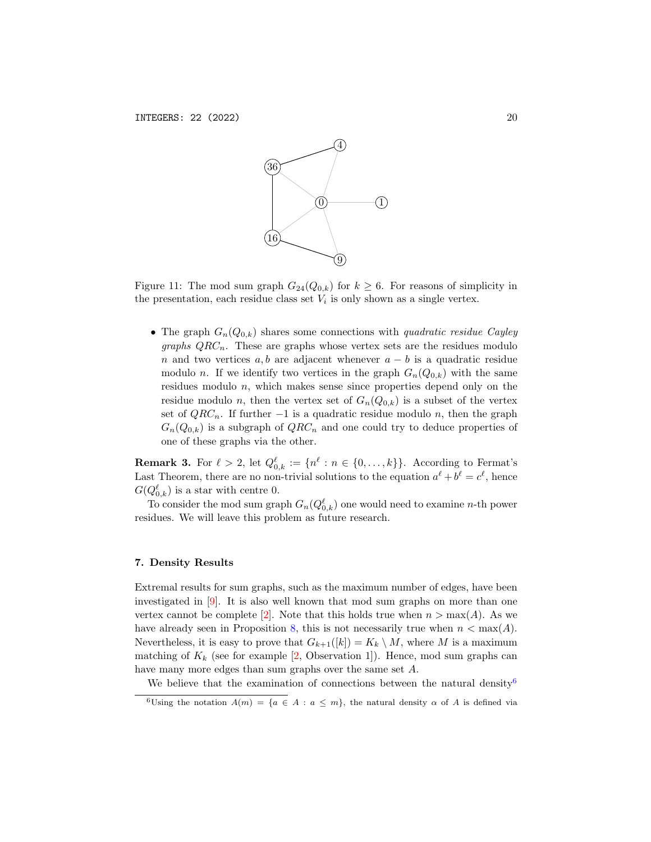

<span id="page-19-1"></span>Figure 11: The mod sum graph  $G_{24}(Q_{0,k})$  for  $k \geq 6$ . For reasons of simplicity in the presentation, each residue class set  $V_i$  is only shown as a single vertex.

• The graph  $G_n(Q_{0,k})$  shares some connections with quadratic residue Cayley *graphs*  $QRC_n$ *.* These are graphs whose vertex sets are the residues modulo n and two vertices a, b are adjacent whenever  $a - b$  is a quadratic residue modulo n. If we identify two vertices in the graph  $G_n(Q_{0,k})$  with the same residues modulo n, which makes sense since properties depend only on the residue modulo n, then the vertex set of  $G_n(Q_{0,k})$  is a subset of the vertex set of  $QRC_n$ . If further  $-1$  is a quadratic residue modulo n, then the graph  $G_n(Q_{0,k})$  is a subgraph of  $QRC_n$  and one could try to deduce properties of one of these graphs via the other.

**Remark 3.** For  $\ell > 2$ , let  $Q_{0,k}^{\ell} := \{n^{\ell} : n \in \{0, \ldots, k\}\}\.$  According to Fermat's Last Theorem, there are no non-trivial solutions to the equation  $a^{\ell} + b^{\ell} = c^{\ell}$ , hence  $G(Q_{0,k}^{\ell})$  is a star with centre 0.

To consider the mod sum graph  $G_n(Q_{0,k}^{\ell})$  one would need to examine n-th power residues. We will leave this problem as future research.

### <span id="page-19-0"></span>7. Density Results

Extremal results for sum graphs, such as the maximum number of edges, have been investigated in [\[9\]](#page-22-3). It is also well known that mod sum graphs on more than one vertex cannot be complete [\[2\]](#page-22-1). Note that this holds true when  $n > \max(A)$ . As we have already seen in Proposition [8,](#page-9-2) this is not necessarily true when  $n < \max(A)$ . Nevertheless, it is easy to prove that  $G_{k+1}([k]) = K_k \setminus M$ , where M is a maximum matching of  $K_k$  (see for example [\[2,](#page-22-1) Observation 1]). Hence, mod sum graphs can have many more edges than sum graphs over the same set A.

We believe that the examination of connections between the natural density<sup>[6](#page-19-2)</sup>

<span id="page-19-2"></span><sup>&</sup>lt;sup>6</sup>Using the notation  $A(m) = \{a \in A : a \leq m\}$ , the natural density  $\alpha$  of A is defined via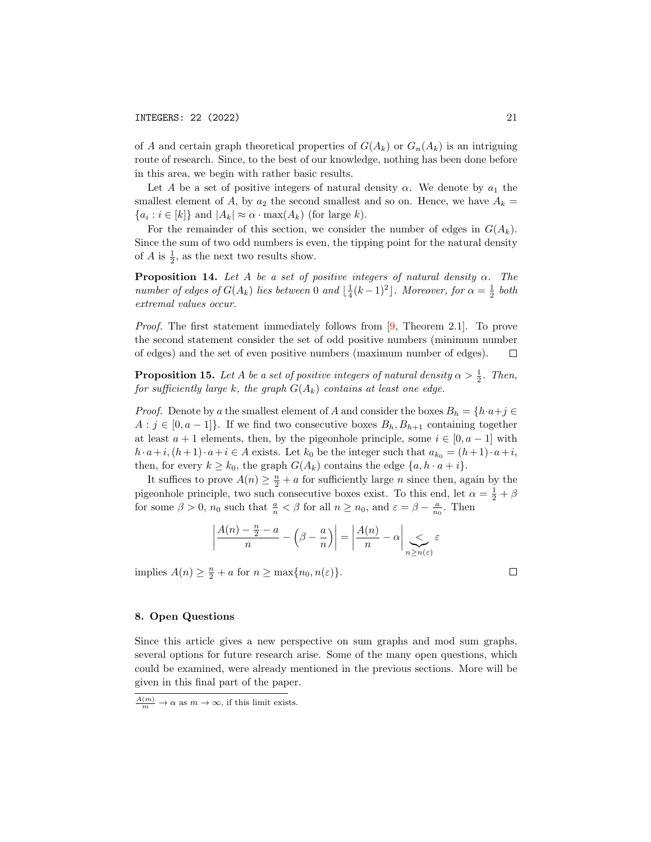of A and certain graph theoretical properties of  $G(A_k)$  or  $G_n(A_k)$  is an intriguing route of research. Since, to the best of our knowledge, nothing has been done before in this area, we begin with rather basic results.

Let A be a set of positive integers of natural density  $\alpha$ . We denote by  $a_1$  the smallest element of A, by  $a_2$  the second smallest and so on. Hence, we have  $A_k =$  ${a_i : i \in [k]}$  and  $|A_k| \approx \alpha \cdot \max(A_k)$  (for large k).

For the remainder of this section, we consider the number of edges in  $G(A_k)$ . Since the sum of two odd numbers is even, the tipping point for the natural density of A is  $\frac{1}{2}$ , as the next two results show.

**Proposition 14.** Let A be a set of positive integers of natural density  $\alpha$ . The number of edges of  $G(A_k)$  lies between 0 and  $\lfloor \frac{1}{4}(k-1)^2 \rfloor$ . Moreover, for  $\alpha = \frac{1}{2}$  both extremal values occur.

Proof. The first statement immediately follows from [\[9,](#page-22-3) Theorem 2.1]. To prove the second statement consider the set of odd positive numbers (minimum number of edges) and the set of even positive numbers (maximum number of edges).  $\Box$ 

**Proposition 15.** Let A be a set of positive integers of natural density  $\alpha > \frac{1}{2}$ . Then, for sufficiently large k, the graph  $G(A_k)$  contains at least one edge.

*Proof.* Denote by a the smallest element of A and consider the boxes  $B_h = \{h \cdot a + j \in$  $A : j \in [0, a-1]$ . If we find two consecutive boxes  $B_h, B_{h+1}$  containing together at least  $a + 1$  elements, then, by the pigeonhole principle, some  $i \in [0, a - 1]$  with  $h \cdot a+i, (h+1) \cdot a+i \in A$  exists. Let  $k_0$  be the integer such that  $a_{k_0} = (h+1) \cdot a+i$ , then, for every  $k \geq k_0$ , the graph  $G(A_k)$  contains the edge  $\{a, h \cdot a + i\}$ .

It suffices to prove  $A(n) \geq \frac{n}{2} + a$  for sufficiently large n since then, again by the pigeonhole principle, two such consecutive boxes exist. To this end, let  $\alpha = \frac{1}{2} + \beta$ for some  $\beta > 0$ ,  $n_0$  such that  $\frac{a}{n} < \beta$  for all  $n \ge n_0$ , and  $\varepsilon = \beta - \frac{a}{n_0}$ . Then

$$
\left|\frac{A(n)-\frac{n}{2}-a}{n}-\left(\beta-\frac{a}{n}\right)\right|=\left|\frac{A(n)}{n}-\alpha\right|\sum_{n\geq n(\varepsilon)}\varepsilon
$$

implies  $A(n) \geq \frac{n}{2} + a$  for  $n \geq \max\{n_0, n(\varepsilon)\}.$ 

### 8. Open Questions

Since this article gives a new perspective on sum graphs and mod sum graphs, several options for future research arise. Some of the many open questions, which could be examined, were already mentioned in the previous sections. More will be given in this final part of the paper.

 $\Box$ 

 $\frac{A(m)}{m} \to \alpha$  as  $m \to \infty$ , if this limit exists.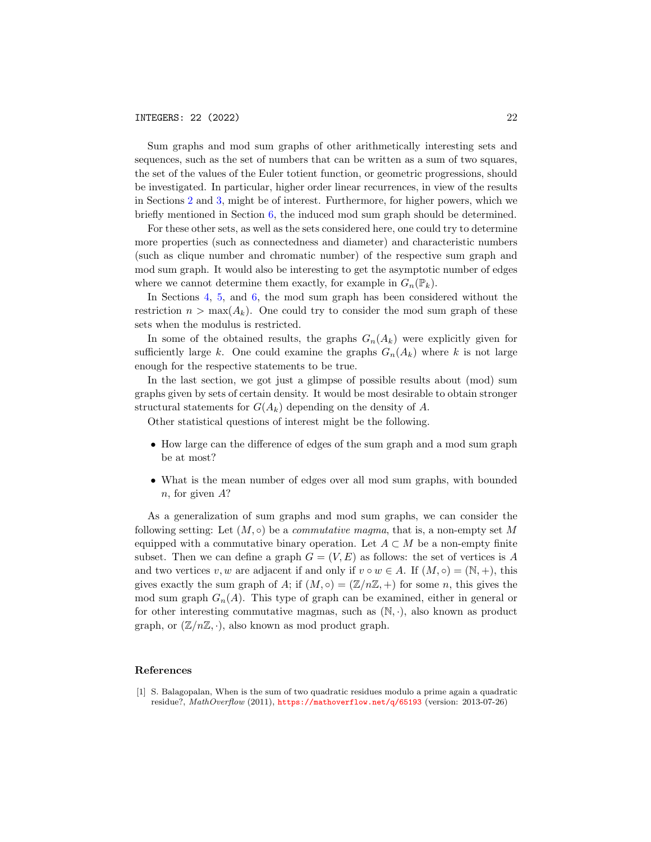Sum graphs and mod sum graphs of other arithmetically interesting sets and sequences, such as the set of numbers that can be written as a sum of two squares, the set of the values of the Euler totient function, or geometric progressions, should be investigated. In particular, higher order linear recurrences, in view of the results in Sections [2](#page-2-1) and [3,](#page-5-1) might be of interest. Furthermore, for higher powers, which we briefly mentioned in Section [6,](#page-14-2) the induced mod sum graph should be determined.

For these other sets, as well as the sets considered here, one could try to determine more properties (such as connectedness and diameter) and characteristic numbers (such as clique number and chromatic number) of the respective sum graph and mod sum graph. It would also be interesting to get the asymptotic number of edges where we cannot determine them exactly, for example in  $G_n(\mathbb{P}_k)$ .

In Sections [4,](#page-8-1) [5,](#page-12-3) and [6,](#page-14-2) the mod sum graph has been considered without the restriction  $n > \max(A_k)$ . One could try to consider the mod sum graph of these sets when the modulus is restricted.

In some of the obtained results, the graphs  $G_n(A_k)$  were explicitly given for sufficiently large k. One could examine the graphs  $G_n(A_k)$  where k is not large enough for the respective statements to be true.

In the last section, we got just a glimpse of possible results about (mod) sum graphs given by sets of certain density. It would be most desirable to obtain stronger structural statements for  $G(A_k)$  depending on the density of A.

Other statistical questions of interest might be the following.

- How large can the difference of edges of the sum graph and a mod sum graph be at most?
- What is the mean number of edges over all mod sum graphs, with bounded n, for given A?

As a generalization of sum graphs and mod sum graphs, we can consider the following setting: Let  $(M, \circ)$  be a *commutative magma*, that is, a non-empty set M equipped with a commutative binary operation. Let  $A \subset M$  be a non-empty finite subset. Then we can define a graph  $G = (V, E)$  as follows: the set of vertices is A and two vertices v, w are adjacent if and only if  $v \circ w \in A$ . If  $(M, \circ) = (\mathbb{N}, +)$ , this gives exactly the sum graph of A; if  $(M, \circ) = (\mathbb{Z}/n\mathbb{Z}, +)$  for some n, this gives the mod sum graph  $G_n(A)$ . This type of graph can be examined, either in general or for other interesting commutative magmas, such as  $(N, \cdot)$ , also known as product graph, or  $(\mathbb{Z}/n\mathbb{Z}, \cdot)$ , also known as mod product graph.

#### References

<span id="page-21-0"></span>[1] S. Balagopalan, When is the sum of two quadratic residues modulo a prime again a quadratic residue?, MathOverflow (2011), <https://mathoverflow.net/q/65193> (version: 2013-07-26)